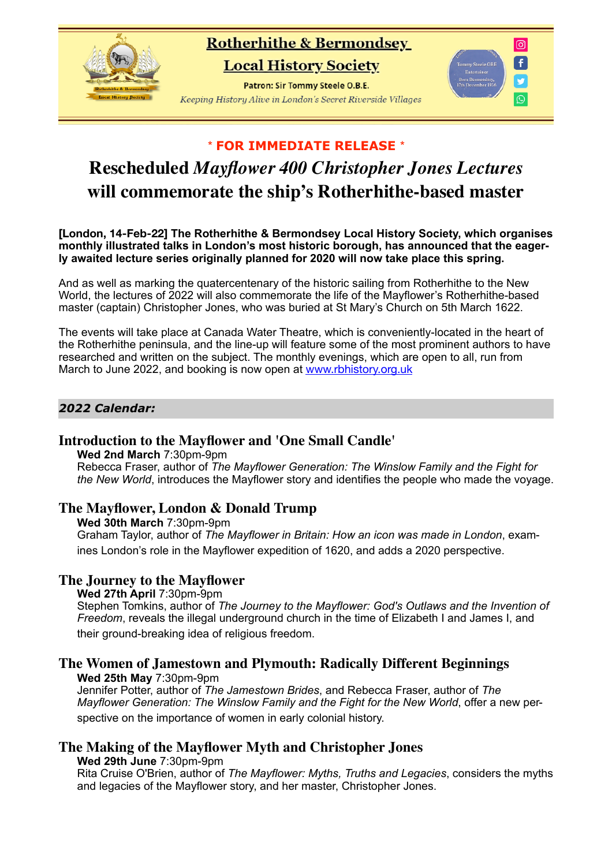# **Rotherhithe & Bermondsey**

**Local History Society** 

Patron: Sir Tommy Steele O.B.E. Keeping History Alive in London's Secret Riverside Villages



# \* **FOR IMMEDIATE RELEASE** \*

# **Rescheduled** *Mayflower 400 Christopher Jones Lectures* **will commemorate the ship's Rotherhithe-based master**

**[London, 14-Feb-22] The Rotherhithe & Bermondsey Local History Society, which organises monthly illustrated talks in London's most historic borough, has announced that the eagerly awaited lecture series originally planned for 2020 will now take place this spring.** 

And as well as marking the quatercentenary of the historic sailing from Rotherhithe to the New World, the lectures of 2022 will also commemorate the life of the Mayflower's Rotherhithe-based master (captain) Christopher Jones, who was buried at St Mary's Church on 5th March 1622.

The events will take place at Canada Water Theatre, which is conveniently-located in the heart of the Rotherhithe peninsula, and the line-up will feature some of the most prominent authors to have researched and written on the subject. The monthly evenings, which are open to all, run from March to June 2022, and booking is now open at www.rbhistory.org.uk

# *2022 Calendar:*

## **Introduction to the Mayflower and 'One Small Candle'**

**Wed 2nd March** 7:30pm-9pm

Rebecca Fraser, author of *The Mayflower Generation: The Winslow Family and the Fight for the New World*, introduces the Mayflower story and identifies the people who made the voyage.

## **The Mayflower, London & Donald Trump**

**Wed 30th March** 7:30pm-9pm

Graham Taylor, author of *The Mayflower in Britain: How an icon was made in London*, examines London's role in the Mayflower expedition of 1620, and adds a 2020 perspective.

## **The Journey to the Mayflower**

**Wed 27th April** 7:30pm-9pm

Stephen Tomkins, author of *The Journey to the Mayflower: God's Outlaws and the Invention of Freedom*, reveals the illegal underground church in the time of Elizabeth I and James I, and their ground-breaking idea of religious freedom.

# **The Women of Jamestown and Plymouth: Radically Different Beginnings**

**Wed 25th May** 7:30pm-9pm Jennifer Potter, author of *The Jamestown Brides*, and Rebecca Fraser, author of *The Mayflower Generation: The Winslow Family and the Fight for the New World*, offer a new perspective on the importance of women in early colonial history.

# **The Making of the Mayflower Myth and Christopher Jones**

**Wed 29th June** 7:30pm-9pm

Rita Cruise O'Brien, author of *The Mayflower: Myths, Truths and Legacies*, considers the myths and legacies of the Mayflower story, and her master, Christopher Jones.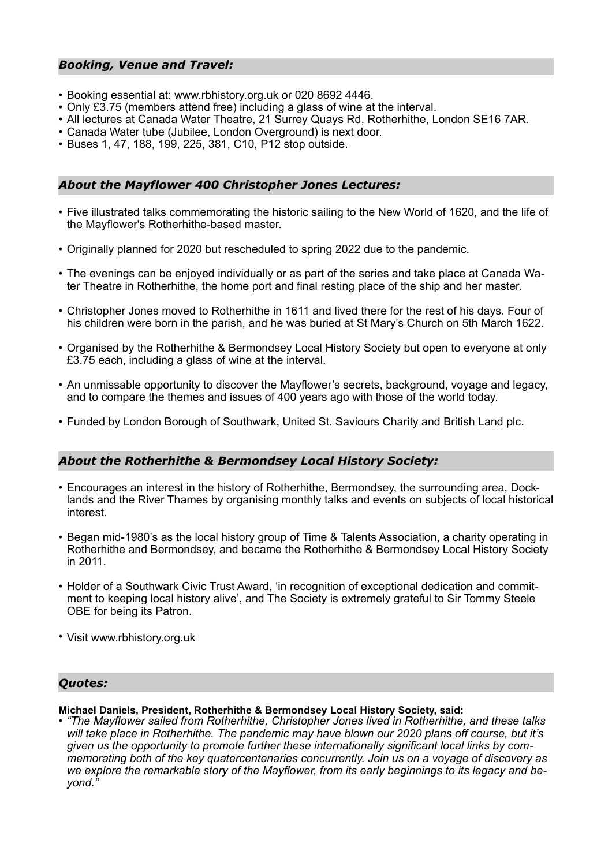#### *Booking, Venue and Travel:*

- Booking essential at: www.rbhistory.org.uk or 020 8692 4446.
- Only £3.75 (members attend free) including a glass of wine at the interval.
- All lectures at Canada Water Theatre, 21 Surrey Quays Rd, Rotherhithe, London SE16 7AR.
- Canada Water tube (Jubilee, London Overground) is next door.
- Buses 1, 47, 188, 199, 225, 381, C10, P12 stop outside.

## *About the Mayflower 400 Christopher Jones Lectures:*

- Five illustrated talks commemorating the historic sailing to the New World of 1620, and the life of the Mayflower's Rotherhithe-based master.
- Originally planned for 2020 but rescheduled to spring 2022 due to the pandemic.
- The evenings can be enjoyed individually or as part of the series and take place at Canada Water Theatre in Rotherhithe, the home port and final resting place of the ship and her master.
- Christopher Jones moved to Rotherhithe in 1611 and lived there for the rest of his days. Four of his children were born in the parish, and he was buried at St Mary's Church on 5th March 1622.
- Organised by the Rotherhithe & Bermondsey Local History Society but open to everyone at only £3.75 each, including a glass of wine at the interval.
- An unmissable opportunity to discover the Mayflower's secrets, background, voyage and legacy, and to compare the themes and issues of 400 years ago with those of the world today.
- Funded by London Borough of Southwark, United St. Saviours Charity and British Land plc.

#### *About the Rotherhithe & Bermondsey Local History Society:*

- Encourages an interest in the history of Rotherhithe, Bermondsey, the surrounding area, Docklands and the River Thames by organising monthly talks and events on subjects of local historical interest.
- Began mid-1980's as the local history group of Time & Talents Association, a charity operating in Rotherhithe and Bermondsey, and became the Rotherhithe & Bermondsey Local History Society in 2011.
- Holder of a Southwark Civic Trust Award, 'in recognition of exceptional dedication and commitment to keeping local history alive', and The Society is extremely grateful to Sir Tommy Steele OBE for being its Patron.
- Visit www.rbhistory.org.uk

#### *Quotes:*

**Michael Daniels, President, Rotherhithe & Bermondsey Local History Society, said:** 

*• "The Mayflower sailed from Rotherhithe, Christopher Jones lived in Rotherhithe, and these talks will take place in Rotherhithe. The pandemic may have blown our 2020 plans off course, but it's given us the opportunity to promote further these internationally significant local links by commemorating both of the key quatercentenaries concurrently. Join us on a voyage of discovery as we explore the remarkable story of the Mayflower, from its early beginnings to its legacy and beyond."*